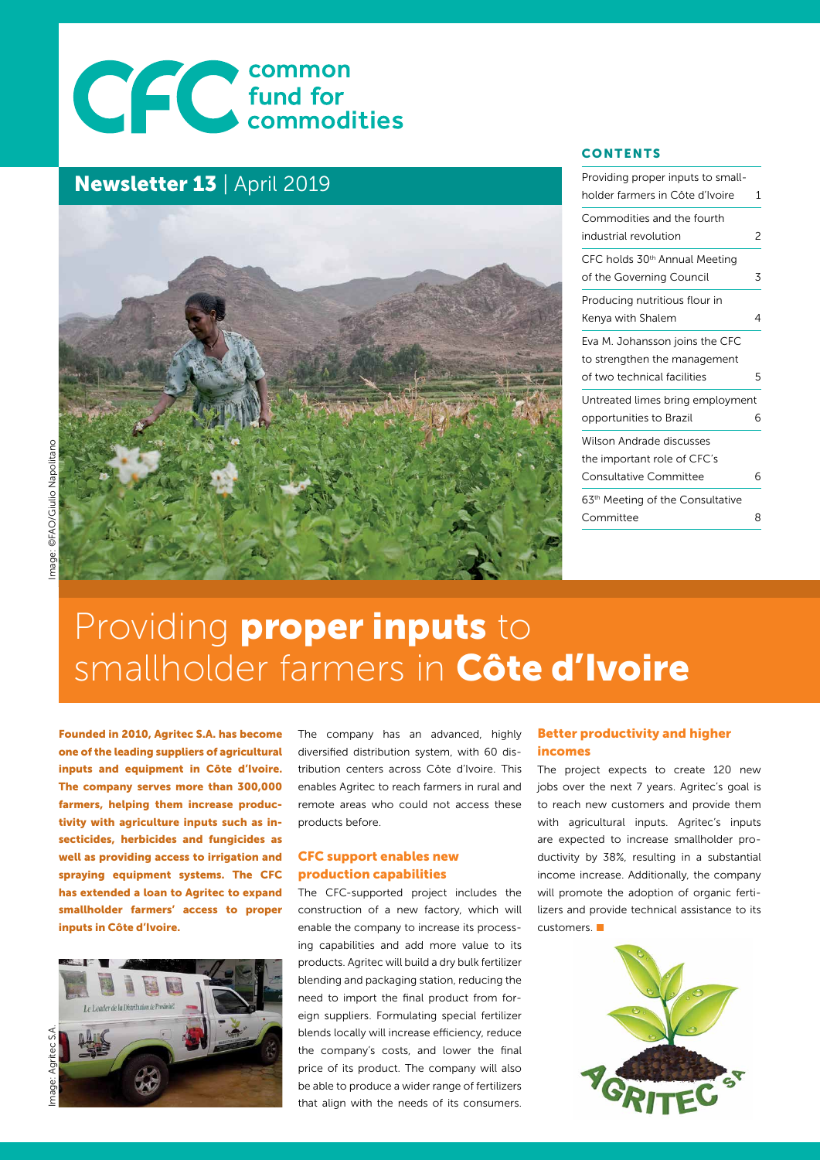# CCC common<br>Commodities

#### Newsletter 13 | April 2019



#### **CONTENTS**

| Providing proper inputs to small-            |   |
|----------------------------------------------|---|
| holder farmers in Côte d'Ivoire              | 1 |
| Commodities and the fourth                   |   |
| industrial revolution                        | 2 |
| CFC holds 30 <sup>th</sup> Annual Meeting    |   |
| of the Governing Council                     | 3 |
| Producing nutritious flour in                |   |
| Kenya with Shalem                            | 4 |
| Eva M. Johansson joins the CFC               |   |
| to strengthen the management                 |   |
| of two technical facilities                  | 5 |
| Untreated limes bring employment             |   |
| opportunities to Brazil                      | 6 |
| Wilson Andrade discusses                     |   |
| the important role of CFC's                  |   |
| <b>Consultative Committee</b>                | 6 |
| 63 <sup>th</sup> Meeting of the Consultative |   |
| Committee                                    | 8 |
|                                              |   |

## mage: ©FAO/Giulio Napolitano Image: ©FAO/Giulio Napolitano

## Providing **proper inputs** to smallholder farmers in Côte d'Ivoire

Founded in 2010, Agritec S.A. has become one of the leading suppliers of agricultural inputs and equipment in Côte d'Ivoire. The company serves more than 300,000 farmers, helping them increase productivity with agriculture inputs such as insecticides, herbicides and fungicides as well as providing access to irrigation and spraying equipment systems. The CFC has extended a loan to Agritec to expand smallholder farmers' access to proper inputs in Côte d'Ivoire.



The company has an advanced, highly diversified distribution system, with 60 distribution centers across Côte d'Ivoire. This enables Agritec to reach farmers in rural and remote areas who could not access these products before.

#### CFC support enables new production capabilities

The CFC-supported project includes the construction of a new factory, which will enable the company to increase its processing capabilities and add more value to its products. Agritec will build a dry bulk fertilizer blending and packaging station, reducing the need to import the final product from foreign suppliers. Formulating special fertilizer blends locally will increase efficiency, reduce the company's costs, and lower the final price of its product. The company will also be able to produce a wider range of fertilizers that align with the needs of its consumers.

#### Better productivity and higher incomes

The project expects to create 120 new jobs over the next 7 years. Agritec's goal is to reach new customers and provide them with agricultural inputs. Agritec's inputs are expected to increase smallholder productivity by 38%, resulting in a substantial income increase. Additionally, the company will promote the adoption of organic fertilizers and provide technical assistance to its customers.

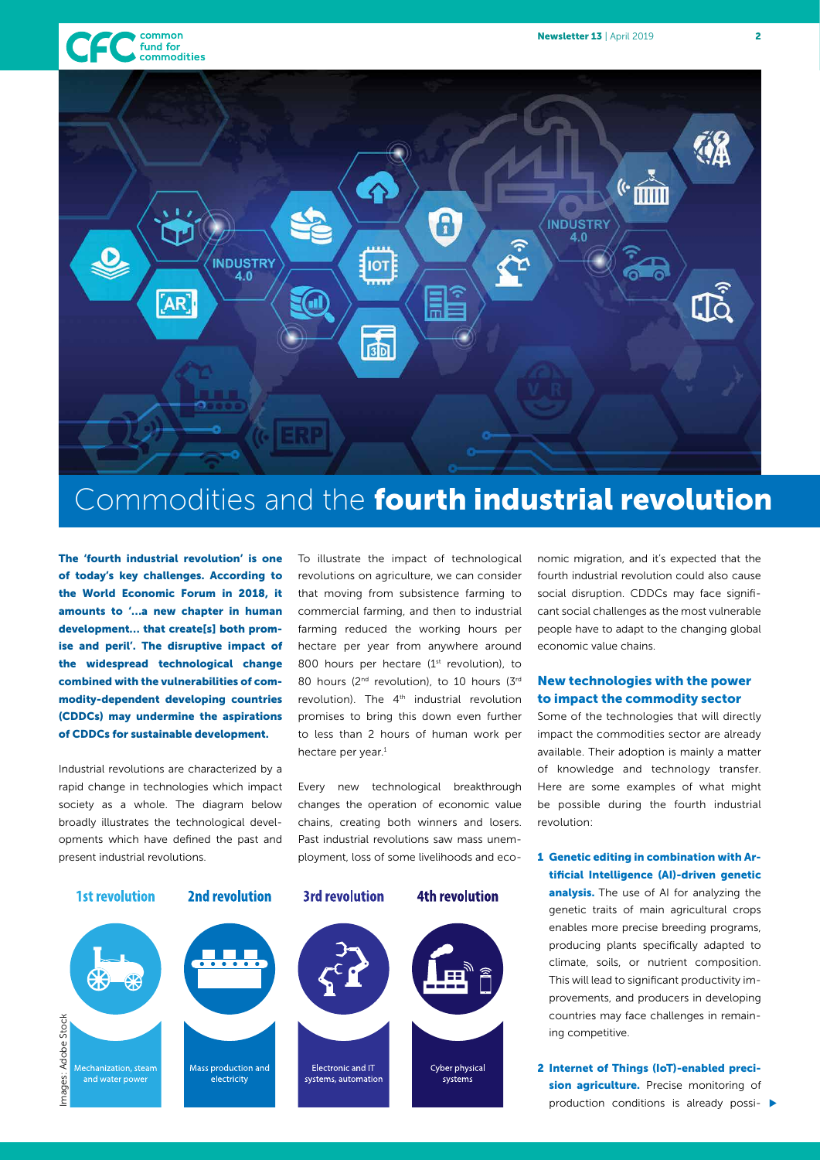



Commodities and the fourth industrial revolution

The 'fourth industrial revolution' is one of today's key challenges. According to the World Economic Forum in 2018, it amounts to '…a new chapter in human development… that create[s] both promise and peril'. The disruptive impact of the widespread technological change combined with the vulnerabilities of commodity-dependent developing countries (CDDCs) may undermine the aspirations of CDDCs for sustainable development.

Industrial revolutions are characterized by a rapid change in technologies which impact society as a whole. The diagram below broadly illustrates the technological developments which have defined the past and present industrial revolutions.

To illustrate the impact of technological revolutions on agriculture, we can consider that moving from subsistence farming to commercial farming, and then to industrial farming reduced the working hours per hectare per year from anywhere around 800 hours per hectare (1<sup>st</sup> revolution), to 80 hours (2<sup>nd</sup> revolution), to 10 hours (3<sup>rd</sup>) revolution). The 4<sup>th</sup> industrial revolution promises to bring this down even further to less than 2 hours of human work per hectare per year.<sup>1</sup>

Every new technological breakthrough changes the operation of economic value chains, creating both winners and losers. Past industrial revolutions saw mass unemployment, loss of some livelihoods and eco-



nomic migration, and it's expected that the fourth industrial revolution could also cause social disruption. CDDCs may face significant social challenges as the most vulnerable people have to adapt to the changing global economic value chains.

#### New technologies with the power to impact the commodity sector

Some of the technologies that will directly impact the commodities sector are already available. Their adoption is mainly a matter of knowledge and technology transfer. Here are some examples of what might be possible during the fourth industrial revolution:

1 Genetic editing in combination with Artificial Intelligence (AI)-driven genetic analysis. The use of AI for analyzing the genetic traits of main agricultural crops enables more precise breeding programs, producing plants specifically adapted to climate, soils, or nutrient composition. This will lead to significant productivity improvements, and producers in developing countries may face challenges in remaining competitive.

2 Internet of Things (IoT)-enabled precision agriculture. Precise monitoring of production conditions is already possi- $\blacktriangleright$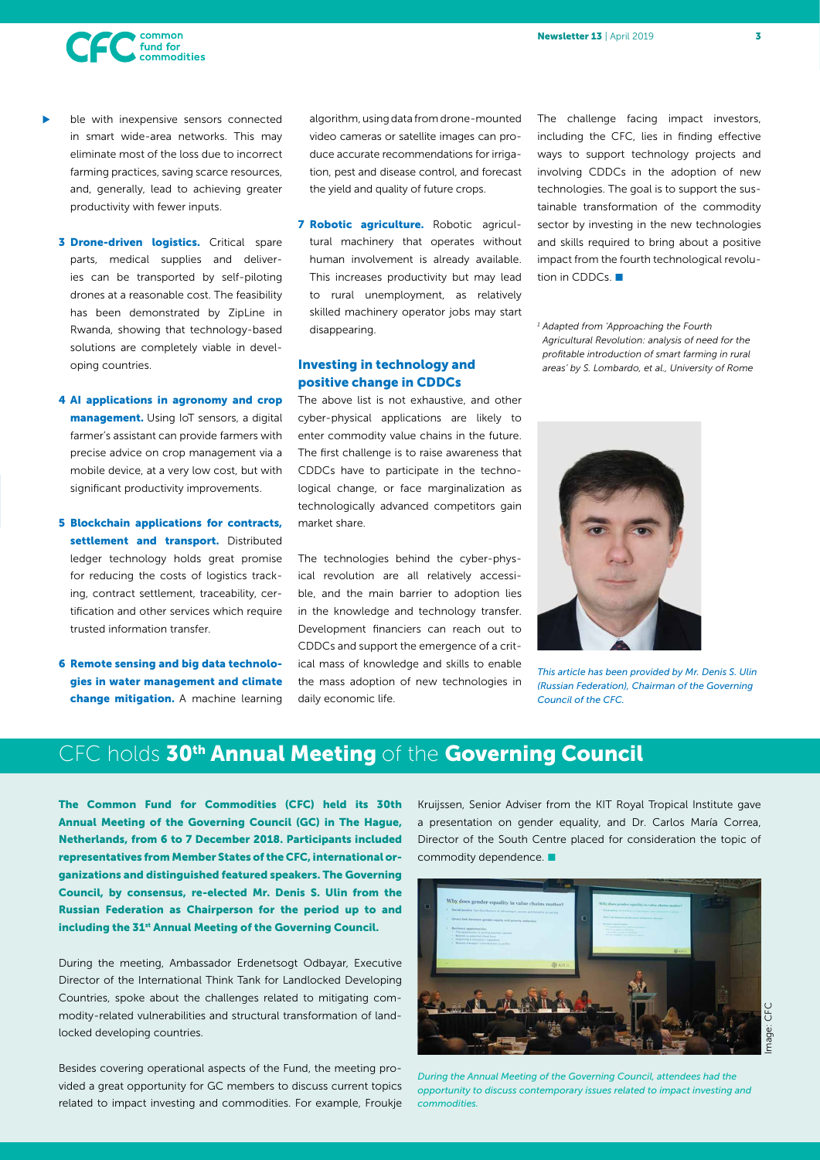

- ble with inexpensive sensors connected in smart wide-area networks. This may eliminate most of the loss due to incorrect farming practices, saving scarce resources, and, generally, lead to achieving greater productivity with fewer inputs. u
	- **3 Drone-driven logistics.** Critical spare parts, medical supplies and deliveries can be transported by self-piloting drones at a reasonable cost. The feasibility has been demonstrated by ZipLine in Rwanda, showing that technology-based solutions are completely viable in developing countries.
	- 4 AI applications in agronomy and crop management. Using IoT sensors, a digital farmer's assistant can provide farmers with precise advice on crop management via a mobile device, at a very low cost, but with significant productivity improvements.
	- 5 Blockchain applications for contracts, settlement and transport. Distributed ledger technology holds great promise for reducing the costs of logistics tracking, contract settlement, traceability, certification and other services which require trusted information transfer.
	- 6 Remote sensing and big data technologies in water management and climate change mitigation. A machine learning

algorithm, using data from drone-mounted video cameras or satellite images can produce accurate recommendations for irrigation, pest and disease control, and forecast the yield and quality of future crops.

7 Robotic agriculture. Robotic agricultural machinery that operates without human involvement is already available. This increases productivity but may lead to rural unemployment, as relatively skilled machinery operator jobs may start disappearing.

#### Investing in technology and positive change in CDDCs

The above list is not exhaustive, and other cyber-physical applications are likely to enter commodity value chains in the future. The first challenge is to raise awareness that CDDCs have to participate in the technological change, or face marginalization as technologically advanced competitors gain market share.

The technologies behind the cyber-physical revolution are all relatively accessible, and the main barrier to adoption lies in the knowledge and technology transfer. Development financiers can reach out to CDDCs and support the emergence of a critical mass of knowledge and skills to enable the mass adoption of new technologies in daily economic life.

The challenge facing impact investors, including the CFC, lies in finding effective ways to support technology projects and involving CDDCs in the adoption of new technologies. The goal is to support the sustainable transformation of the commodity sector by investing in the new technologies and skills required to bring about a positive impact from the fourth technological revolution in CDDCs.

*<sup>1</sup> Adapted from 'Approaching the Fourth Agricultural Revolution: analysis of need for the profitable introduction of smart farming in rural areas' by S. Lombardo, et al., University of Rome*



*This article has been provided by Mr. Denis S. Ulin (Russian Federation), Chairman of the Governing Council of the CFC.*

## CFC holds 30<sup>th</sup> Annual Meeting of the Governing Council

The Common Fund for Commodities (CFC) held its 30th Annual Meeting of the Governing Council (GC) in The Hague, Netherlands, from 6 to 7 December 2018. Participants included representatives from Member States of the CFC, international organizations and distinguished featured speakers. The Governing Council, by consensus, re-elected Mr. Denis S. Ulin from the Russian Federation as Chairperson for the period up to and including the 31<sup>st</sup> Annual Meeting of the Governing Council.

During the meeting, Ambassador Erdenetsogt Odbayar, Executive Director of the International Think Tank for Landlocked Developing Countries, spoke about the challenges related to mitigating commodity-related vulnerabilities and structural transformation of landlocked developing countries.

Besides covering operational aspects of the Fund, the meeting provided a great opportunity for GC members to discuss current topics related to impact investing and commodities. For example, Froukje

Kruijssen, Senior Adviser from the KIT Royal Tropical Institute gave a presentation on gender equality, and Dr. Carlos María Correa, Director of the South Centre placed for consideration the topic of commodity dependence.



*During the Annual Meeting of the Governing Council, attendees had the opportunity to discuss contemporary issues related to impact investing and commodities.*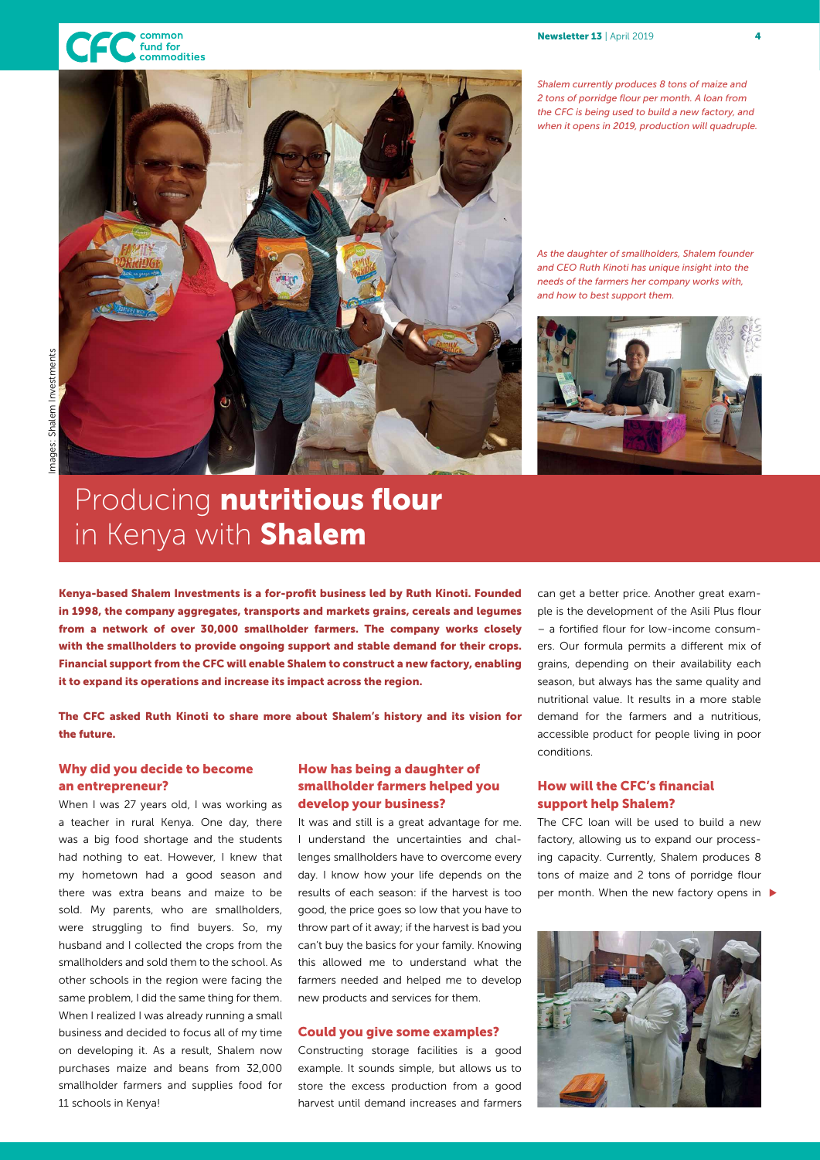



## Producing nutritious flour in Kenya with **Shalem**

Kenya-based Shalem Investments is a for-profit business led by Ruth Kinoti. Founded in 1998, the company aggregates, transports and markets grains, cereals and legumes from a network of over 30,000 smallholder farmers. The company works closely with the smallholders to provide ongoing support and stable demand for their crops. Financial support from the CFC will enable Shalem to construct a new factory, enabling it to expand its operations and increase its impact across the region.

The CFC asked Ruth Kinoti to share more about Shalem's history and its vision for the future.

#### Why did you decide to become an entrepreneur?

When I was 27 years old, I was working as a teacher in rural Kenya. One day, there was a big food shortage and the students had nothing to eat. However, I knew that my hometown had a good season and there was extra beans and maize to be sold. My parents, who are smallholders, were struggling to find buyers. So, my husband and I collected the crops from the smallholders and sold them to the school. As other schools in the region were facing the same problem, I did the same thing for them. When I realized I was already running a small business and decided to focus all of my time on developing it. As a result, Shalem now purchases maize and beans from 32,000 smallholder farmers and supplies food for 11 schools in Kenya!

#### How has being a daughter of smallholder farmers helped you develop your business?

It was and still is a great advantage for me. I understand the uncertainties and challenges smallholders have to overcome every day. I know how your life depends on the results of each season: if the harvest is too good, the price goes so low that you have to throw part of it away; if the harvest is bad you can't buy the basics for your family. Knowing this allowed me to understand what the farmers needed and helped me to develop new products and services for them.

#### Could you give some examples?

Constructing storage facilities is a good example. It sounds simple, but allows us to store the excess production from a good harvest until demand increases and farmers

can get a better price. Another great example is the development of the Asili Plus flour – a fortified flour for low-income consumers. Our formula permits a different mix of grains, depending on their availability each season, but always has the same quality and nutritional value. It results in a more stable demand for the farmers and a nutritious, accessible product for people living in poor conditions.

#### How will the CFC's financial support help Shalem?

The CFC loan will be used to build a new factory, allowing us to expand our processing capacity. Currently, Shalem produces 8 tons of maize and 2 tons of porridge flour per month. When the new factory opens in  $\blacktriangleright$ 



*Shalem currently produces 8 tons of maize and 2 tons of porridge flour per month. A loan from the CFC is being used to build a new factory, and when it opens in 2019, production will quadruple.*

*As the daughter of smallholders, Shalem founder and CEO Ruth Kinoti has unique insight into the needs of the farmers her company works with, and how to best support them.* 

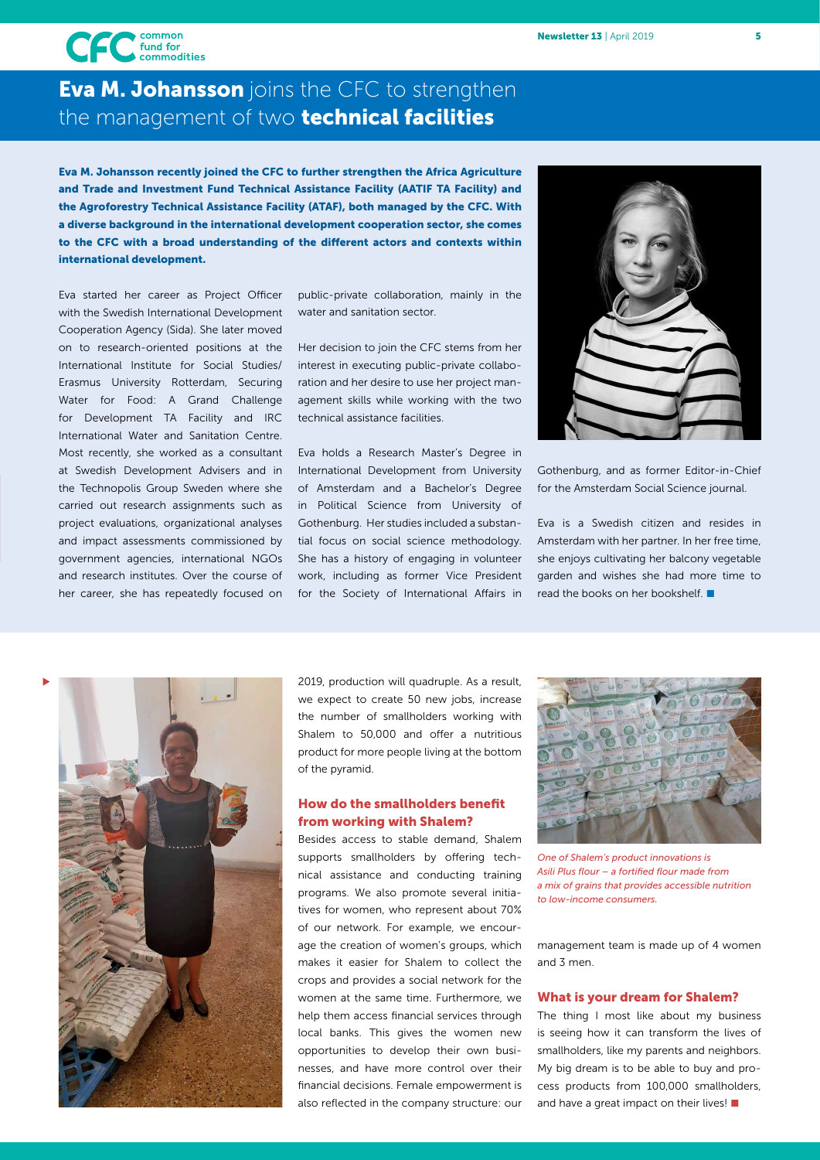

### **Eva M. Johansson** joins the CFC to strengthen the management of two **technical facilities**

Eva M. Johansson recently joined the CFC to further strengthen the Africa Agriculture and Trade and Investment Fund Technical Assistance Facility (AATIF TA Facility) and the Agroforestry Technical Assistance Facility (ATAF), both managed by the CFC. With a diverse background in the international development cooperation sector, she comes to the CFC with a broad understanding of the different actors and contexts within international development.

Eva started her career as Project Officer with the Swedish International Development Cooperation Agency (Sida). She later moved on to research-oriented positions at the International Institute for Social Studies/ Erasmus University Rotterdam, Securing Water for Food: A Grand Challenge for Development TA Facility and IRC International Water and Sanitation Centre. Most recently, she worked as a consultant at Swedish Development Advisers and in the Technopolis Group Sweden where she carried out research assignments such as project evaluations, organizational analyses and impact assessments commissioned by government agencies, international NGOs and research institutes. Over the course of her career, she has repeatedly focused on public-private collaboration, mainly in the water and sanitation sector.

Her decision to join the CFC stems from her interest in executing public-private collaboration and her desire to use her project management skills while working with the two technical assistance facilities.

Eva holds a Research Master's Degree in International Development from University of Amsterdam and a Bachelor's Degree in Political Science from University of Gothenburg. Her studies included a substantial focus on social science methodology. She has a history of engaging in volunteer work, including as former Vice President for the Society of International Affairs in



Gothenburg, and as former Editor-in-Chief for the Amsterdam Social Science journal.

Eva is a Swedish citizen and resides in Amsterdam with her partner. In her free time, she enjoys cultivating her balcony vegetable garden and wishes she had more time to read the books on her bookshelf.  $\blacksquare$ 



2019, production will quadruple. As a result, we expect to create 50 new jobs, increase the number of smallholders working with Shalem to 50,000 and offer a nutritious product for more people living at the bottom of the pyramid.

#### How do the smallholders benefit from working with Shalem?

Besides access to stable demand, Shalem supports smallholders by offering technical assistance and conducting training programs. We also promote several initiatives for women, who represent about 70% of our network. For example, we encourage the creation of women's groups, which makes it easier for Shalem to collect the crops and provides a social network for the women at the same time. Furthermore, we help them access financial services through local banks. This gives the women new opportunities to develop their own businesses, and have more control over their financial decisions. Female empowerment is also reflected in the company structure: our



*One of Shalem's product innovations is Asili Plus flour – a fortified flour made from a mix of grains that provides accessible nutrition to low-income consumers.* 

management team is made up of 4 women and 3 men.

#### What is your dream for Shalem?

The thing I most like about my business is seeing how it can transform the lives of smallholders, like my parents and neighbors. My big dream is to be able to buy and process products from 100,000 smallholders, and have a great impact on their lives!  $\blacksquare$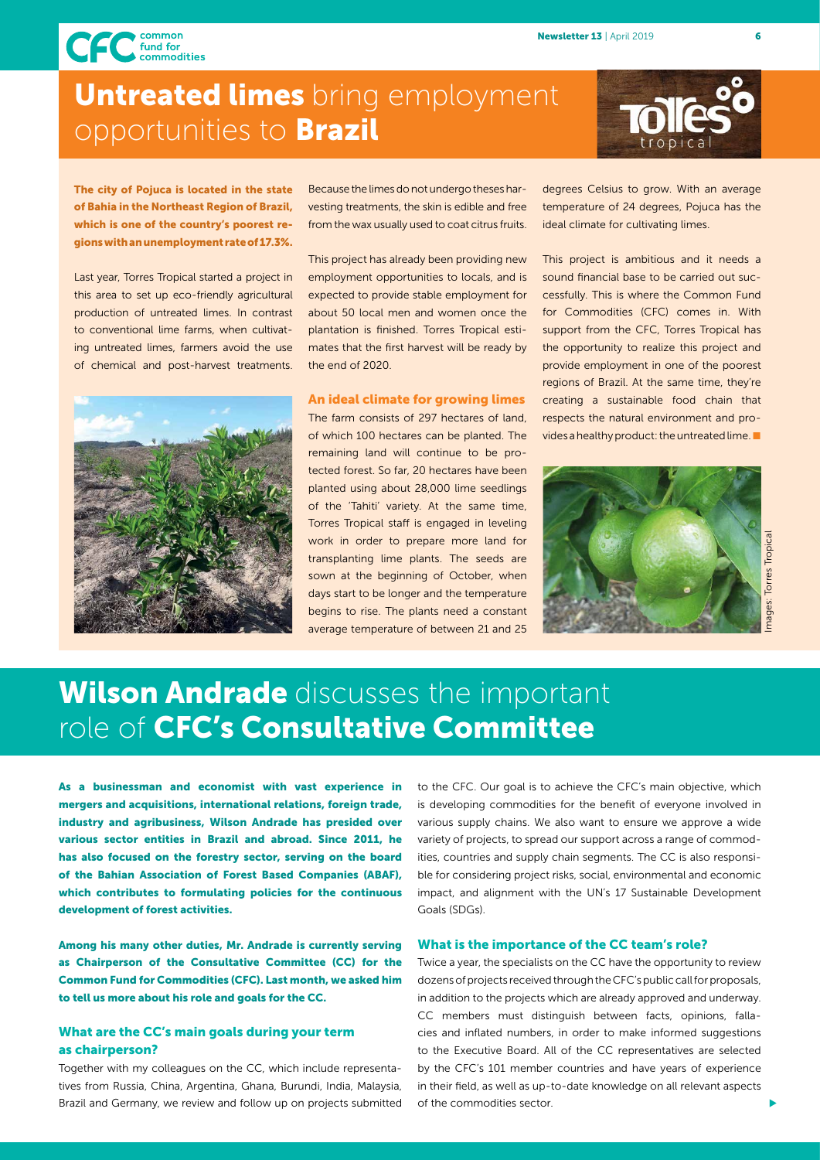CFC fund for<br>commodities

## **Untreated limes** bring employment opportunities to Brazil



#### The city of Pojuca is located in the state of Bahia in the Northeast Region of Brazil, which is one of the country's poorest regions with an unemployment rate of 17.3%.

Last year, Torres Tropical started a project in this area to set up eco-friendly agricultural production of untreated limes. In contrast to conventional lime farms, when cultivating untreated limes, farmers avoid the use of chemical and post-harvest treatments.

Because the limes do not undergo theses harvesting treatments, the skin is edible and free from the wax usually used to coat citrus fruits.

This project has already been providing new employment opportunities to locals, and is expected to provide stable employment for about 50 local men and women once the plantation is finished. Torres Tropical estimates that the first harvest will be ready by the end of 2020.



#### An ideal climate for growing limes

The farm consists of 297 hectares of land, of which 100 hectares can be planted. The remaining land will continue to be protected forest. So far, 20 hectares have been planted using about 28,000 lime seedlings of the 'Tahiti' variety. At the same time, Torres Tropical staff is engaged in leveling work in order to prepare more land for transplanting lime plants. The seeds are sown at the beginning of October, when days start to be longer and the temperature begins to rise. The plants need a constant average temperature of between 21 and 25

degrees Celsius to grow. With an average temperature of 24 degrees, Pojuca has the ideal climate for cultivating limes.

This project is ambitious and it needs a sound financial base to be carried out successfully. This is where the Common Fund for Commodities (CFC) comes in. With support from the CFC, Torres Tropical has the opportunity to realize this project and provide employment in one of the poorest regions of Brazil. At the same time, they're creating a sustainable food chain that respects the natural environment and provides a healthy product: the untreated lime.  $\blacksquare$ 



## Images: Torres TropicalTorres Tropical ages:

## Wilson Andrade discusses the important role of CFC's Consultative Committee

As a businessman and economist with vast experience in mergers and acquisitions, international relations, foreign trade, industry and agribusiness, Wilson Andrade has presided over various sector entities in Brazil and abroad. Since 2011, he has also focused on the forestry sector, serving on the board of the Bahian Association of Forest Based Companies (ABAF), which contributes to formulating policies for the continuous development of forest activities.

Among his many other duties, Mr. Andrade is currently serving as Chairperson of the Consultative Committee (CC) for the Common Fund for Commodities (CFC). Last month, we asked him to tell us more about his role and goals for the CC.

#### What are the CC's main goals during your term as chairperson?

Together with my colleagues on the CC, which include representatives from Russia, China, Argentina, Ghana, Burundi, India, Malaysia, Brazil and Germany, we review and follow up on projects submitted

to the CFC. Our goal is to achieve the CFC's main objective, which is developing commodities for the benefit of everyone involved in various supply chains. We also want to ensure we approve a wide variety of projects, to spread our support across a range of commodities, countries and supply chain segments. The CC is also responsible for considering project risks, social, environmental and economic impact, and alignment with the UN's 17 Sustainable Development Goals (SDGs).

#### What is the importance of the CC team's role?

Twice a year, the specialists on the CC have the opportunity to review dozens of projects received through the CFC's public call for proposals, in addition to the projects which are already approved and underway. CC members must distinguish between facts, opinions, fallacies and inflated numbers, in order to make informed suggestions to the Executive Board. All of the CC representatives are selected by the CFC's 101 member countries and have years of experience in their field, as well as up-to-date knowledge on all relevant aspects of the commodities sector.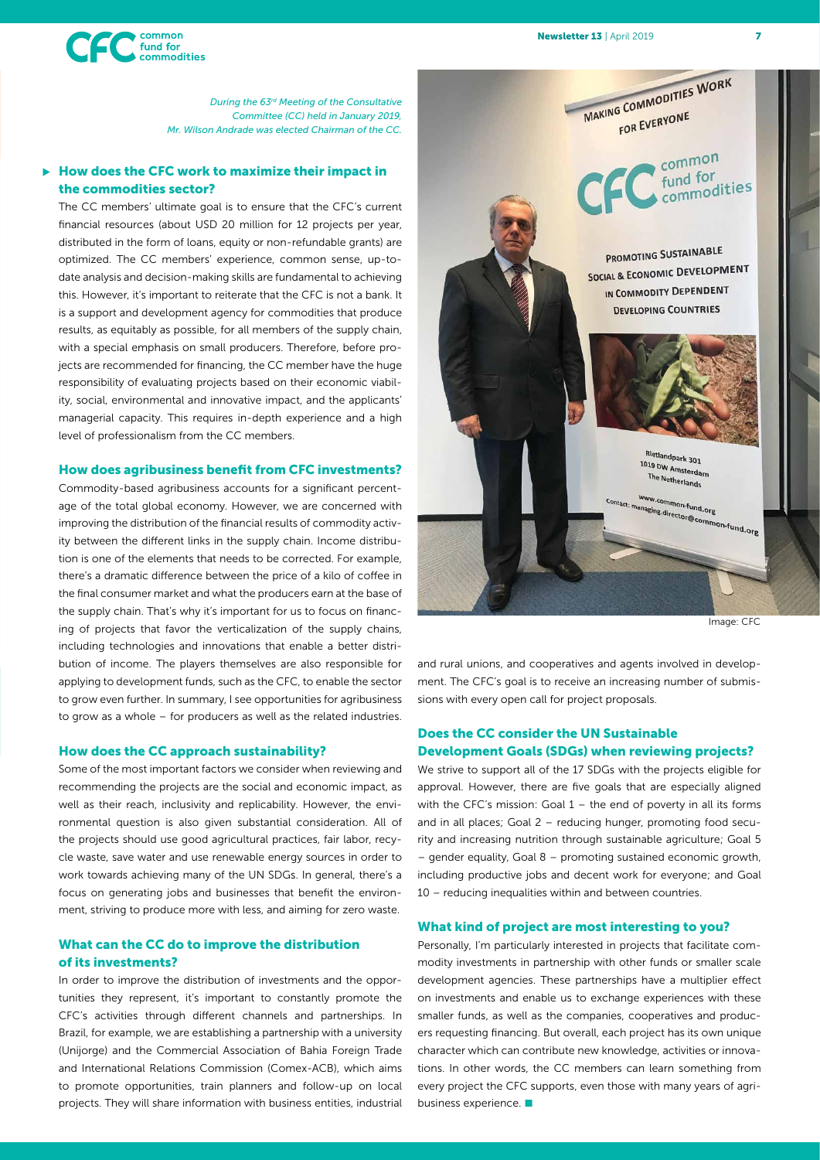

*During the 63rd Meeting of the Consultative Committee (CC) held in January 2019, Mr. Wilson Andrade was elected Chairman of the CC.*

#### How does the CFC work to maximize their impact in the commodities sector? u

The CC members' ultimate goal is to ensure that the CFC's current financial resources (about USD 20 million for 12 projects per year, distributed in the form of loans, equity or non-refundable grants) are optimized. The CC members' experience, common sense, up-todate analysis and decision-making skills are fundamental to achieving this. However, it's important to reiterate that the CFC is not a bank. It is a support and development agency for commodities that produce results, as equitably as possible, for all members of the supply chain, with a special emphasis on small producers. Therefore, before projects are recommended for financing, the CC member have the huge responsibility of evaluating projects based on their economic viability, social, environmental and innovative impact, and the applicants' managerial capacity. This requires in-depth experience and a high level of professionalism from the CC members.

#### How does agribusiness benefit from CFC investments?

Commodity-based agribusiness accounts for a significant percentage of the total global economy. However, we are concerned with improving the distribution of the financial results of commodity activity between the different links in the supply chain. Income distribution is one of the elements that needs to be corrected. For example, there's a dramatic difference between the price of a kilo of coffee in the final consumer market and what the producers earn at the base of the supply chain. That's why it's important for us to focus on financing of projects that favor the verticalization of the supply chains, including technologies and innovations that enable a better distribution of income. The players themselves are also responsible for applying to development funds, such as the CFC, to enable the sector to grow even further. In summary, I see opportunities for agribusiness to grow as a whole – for producers as well as the related industries.

#### How does the CC approach sustainability?

Some of the most important factors we consider when reviewing and recommending the projects are the social and economic impact, as well as their reach, inclusivity and replicability. However, the environmental question is also given substantial consideration. All of the projects should use good agricultural practices, fair labor, recycle waste, save water and use renewable energy sources in order to work towards achieving many of the UN SDGs. In general, there's a focus on generating jobs and businesses that benefit the environment, striving to produce more with less, and aiming for zero waste.

#### What can the CC do to improve the distribution of its investments?

In order to improve the distribution of investments and the opportunities they represent, it's important to constantly promote the CFC's activities through different channels and partnerships. In Brazil, for example, we are establishing a partnership with a university (Unijorge) and the Commercial Association of Bahia Foreign Trade and International Relations Commission (Comex-ACB), which aims to promote opportunities, train planners and follow-up on local projects. They will share information with business entities, industrial



Image: CFC

and rural unions, and cooperatives and agents involved in development. The CFC's goal is to receive an increasing number of submissions with every open call for project proposals.

#### Does the CC consider the UN Sustainable Development Goals (SDGs) when reviewing projects?

We strive to support all of the 17 SDGs with the projects eligible for approval. However, there are five goals that are especially aligned with the CFC's mission: Goal 1 – the end of poverty in all its forms and in all places; Goal 2 – reducing hunger, promoting food security and increasing nutrition through sustainable agriculture; Goal 5 – gender equality, Goal 8 – promoting sustained economic growth, including productive jobs and decent work for everyone; and Goal 10 – reducing inequalities within and between countries.

#### What kind of project are most interesting to you?

Personally, I'm particularly interested in projects that facilitate commodity investments in partnership with other funds or smaller scale development agencies. These partnerships have a multiplier effect on investments and enable us to exchange experiences with these smaller funds, as well as the companies, cooperatives and producers requesting financing. But overall, each project has its own unique character which can contribute new knowledge, activities or innovations. In other words, the CC members can learn something from every project the CFC supports, even those with many years of agribusiness experience.